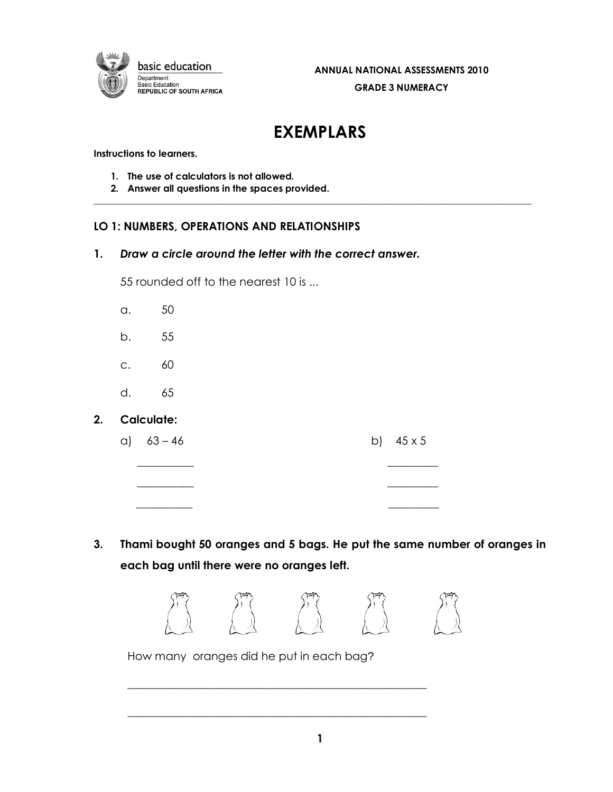

# **EXEMPLARS**

 $\_$  . The contribution of the contribution of the contribution of the contribution of the contribution of the contribution of the contribution of the contribution of the contribution of the contribution of the contributio

**Instructions to learners.**

- **1. The use of calculators is not allowed.**
- **2. Answer all questions in the spaces provided.**

# **LO 1: NUMBERS, OPERATIONS AND RELATIONSHIPS**

**1.** *Draw a circle around the letter with the correct answer.*

55 rounded off to the nearest 10 is ...

- a. 50
- b. 55
- c. 60
- d. 65

#### **2. Calculate:**

a)  $63 - 46$  b)  $45 \times 5$ 

 $\overline{\phantom{a}}$  , and the contract of the contract of the contract of the contract of the contract of the contract of the contract of the contract of the contract of the contract of the contract of the contract of the contrac

 $\overline{\phantom{a}}$  , and the contract of the contract of the contract of the contract of the contract of the contract of the contract of the contract of the contract of the contract of the contract of the contract of the contrac

 **\_\_\_\_\_\_\_\_\_\_ \_\_\_\_\_\_\_\_\_**

**3. Thami bought 50 oranges and 5 bags. He put the same number of oranges in each bag until there were no oranges left.** 



How many oranges did he put in each bag?

\_\_\_\_\_\_\_\_\_\_\_\_\_\_\_\_\_\_\_\_\_\_\_\_\_\_\_\_\_\_\_\_\_\_\_\_\_\_\_\_\_\_\_\_\_\_\_\_\_\_\_\_\_

\_\_\_\_\_\_\_\_\_\_\_\_\_\_\_\_\_\_\_\_\_\_\_\_\_\_\_\_\_\_\_\_\_\_\_\_\_\_\_\_\_\_\_\_\_\_\_\_\_\_\_\_\_

**1**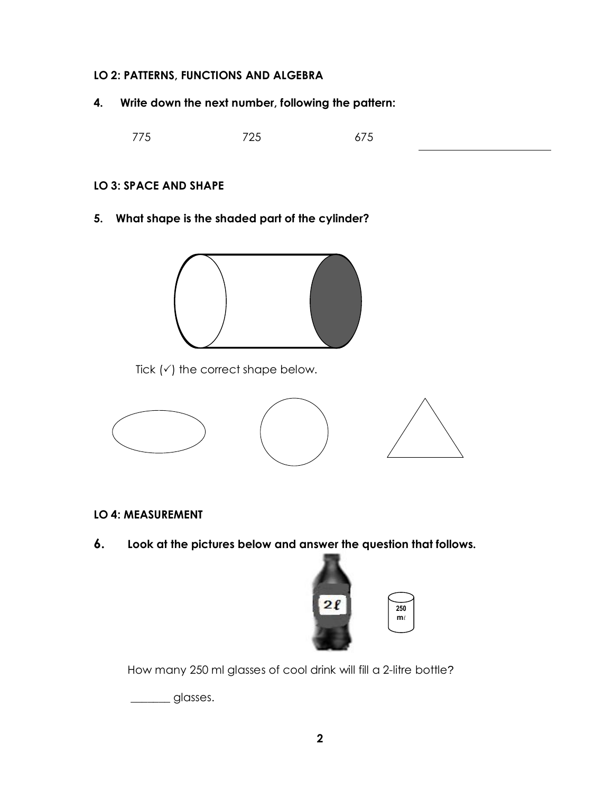### **LO 2: PATTERNS, FUNCTIONS AND ALGEBRA**

**4. Write down the next number, following the pattern:**

775 725 675

# **LO 3: SPACE AND SHAPE**

**5. What shape is the shaded part of the cylinder?**



Tick  $(\checkmark)$  the correct shape below.



- **LO 4: MEASUREMENT**
- **6. Look at the pictures below and answer the question that follows.**



How many 250 ml glasses of cool drink will fill a 2-litre bottle?

\_\_\_\_\_\_\_ glasses.